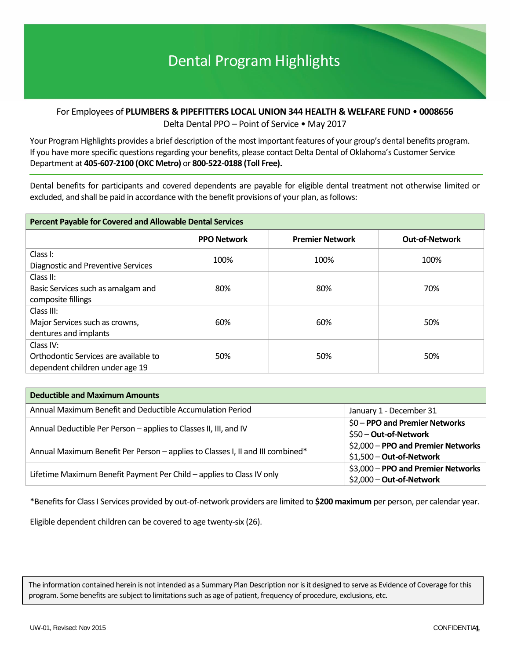# For Employees of **PLUMBERS & PIPEFITTERS LOCAL UNION 344 HEALTH & WELFARE FUND** • **0008656** Delta Dental PPO – Point of Service • May 2017

Your Program Highlights provides a brief description of the most important features of your group's dental benefits program. If you have more specific questions regarding your benefits, please contact Delta Dental of Oklahoma's Customer Service Department at **405-607-2100 (OKC Metro)** or **800-522-0188 (Toll Free).**

Dental benefits for participants and covered dependents are payable for eligible dental treatment not otherwise limited or excluded, and shall be paid in accordance with the benefit provisions of your plan, as follows:

| <b>Percent Payable for Covered and Allowable Dental Services</b>                      |                    |                        |                       |  |  |  |  |
|---------------------------------------------------------------------------------------|--------------------|------------------------|-----------------------|--|--|--|--|
|                                                                                       | <b>PPO Network</b> | <b>Premier Network</b> | <b>Out-of-Network</b> |  |  |  |  |
| Class I:<br>Diagnostic and Preventive Services                                        | 100%               | 100%                   | 100%                  |  |  |  |  |
| Class II:<br>Basic Services such as amalgam and<br>composite fillings                 | 80%                | 80%                    | 70%                   |  |  |  |  |
| Class III:<br>Major Services such as crowns,<br>dentures and implants                 | 60%                | 60%                    | 50%                   |  |  |  |  |
| Class IV:<br>Orthodontic Services are available to<br>dependent children under age 19 | 50%                | 50%                    | 50%                   |  |  |  |  |

| <b>Deductible and Maximum Amounts</b>                                          |                                                                |
|--------------------------------------------------------------------------------|----------------------------------------------------------------|
| Annual Maximum Benefit and Deductible Accumulation Period                      | January 1 - December 31                                        |
| Annual Deductible Per Person - applies to Classes II, III, and IV              | \$0 - PPO and Premier Networks<br>\$50 - Out-of-Network        |
| Annual Maximum Benefit Per Person - applies to Classes I, II and III combined* | \$2,000 - PPO and Premier Networks<br>\$1,500 - Out-of-Network |
| Lifetime Maximum Benefit Payment Per Child - applies to Class IV only          | \$3,000 - PPO and Premier Networks<br>\$2,000 - Out-of-Network |

\*Benefits for Class I Services provided by out-of-network providers are limited to **\$200 maximum** per person, per calendar year.

Eligible dependent children can be covered to age twenty-six (26).

The information contained herein is not intended as a Summary Plan Description nor is it designed to serve as Evidence of Coverage for this program. Some benefits are subject to limitations such as age of patient, frequency of procedure, exclusions, etc.